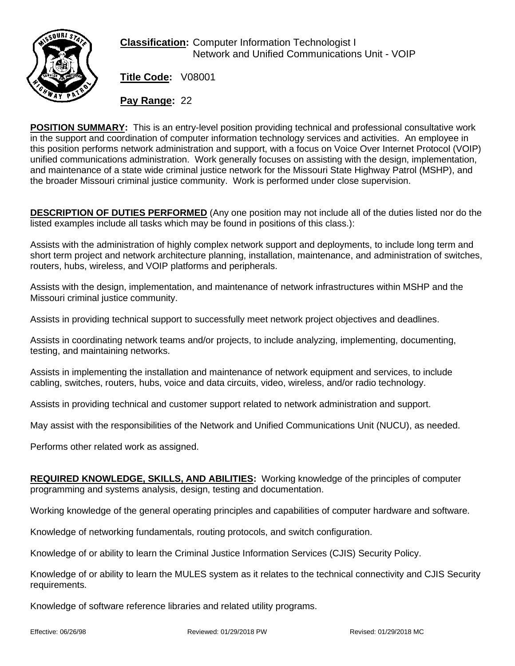

**Classification:** Computer Information Technologist I Network and Unified Communications Unit - VOIP

**Title Code:** V08001

**Pay Range:** 22

**POSITION SUMMARY:** This is an entry-level position providing technical and professional consultative work in the support and coordination of computer information technology services and activities. An employee in this position performs network administration and support, with a focus on Voice Over Internet Protocol (VOIP) unified communications administration. Work generally focuses on assisting with the design, implementation, and maintenance of a state wide criminal justice network for the Missouri State Highway Patrol (MSHP), and the broader Missouri criminal justice community. Work is performed under close supervision.

**DESCRIPTION OF DUTIES PERFORMED** (Any one position may not include all of the duties listed nor do the listed examples include all tasks which may be found in positions of this class.):

Assists with the administration of highly complex network support and deployments, to include long term and short term project and network architecture planning, installation, maintenance, and administration of switches, routers, hubs, wireless, and VOIP platforms and peripherals.

Assists with the design, implementation, and maintenance of network infrastructures within MSHP and the Missouri criminal justice community.

Assists in providing technical support to successfully meet network project objectives and deadlines.

Assists in coordinating network teams and/or projects, to include analyzing, implementing, documenting, testing, and maintaining networks.

Assists in implementing the installation and maintenance of network equipment and services, to include cabling, switches, routers, hubs, voice and data circuits, video, wireless, and/or radio technology.

Assists in providing technical and customer support related to network administration and support.

May assist with the responsibilities of the Network and Unified Communications Unit (NUCU), as needed.

Performs other related work as assigned.

**REQUIRED KNOWLEDGE, SKILLS, AND ABILITIES:** Working knowledge of the principles of computer programming and systems analysis, design, testing and documentation.

Working knowledge of the general operating principles and capabilities of computer hardware and software.

Knowledge of networking fundamentals, routing protocols, and switch configuration.

Knowledge of or ability to learn the Criminal Justice Information Services (CJIS) Security Policy.

Knowledge of or ability to learn the MULES system as it relates to the technical connectivity and CJIS Security requirements.

Knowledge of software reference libraries and related utility programs.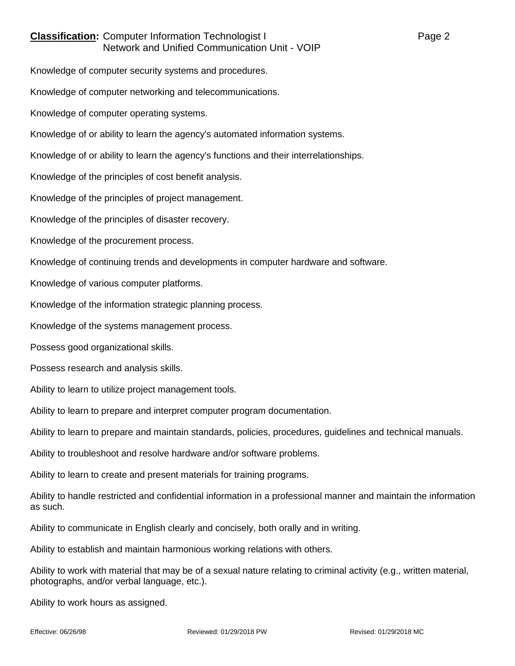## **Classification:** Computer Information Technologist I Page 2 Network and Unified Communication Unit - VOIP

Knowledge of computer security systems and procedures.

Knowledge of computer networking and telecommunications.

Knowledge of computer operating systems.

Knowledge of or ability to learn the agency's automated information systems.

Knowledge of or ability to learn the agency's functions and their interrelationships.

Knowledge of the principles of cost benefit analysis.

Knowledge of the principles of project management.

Knowledge of the principles of disaster recovery.

Knowledge of the procurement process.

Knowledge of continuing trends and developments in computer hardware and software.

Knowledge of various computer platforms.

Knowledge of the information strategic planning process.

Knowledge of the systems management process.

Possess good organizational skills.

Possess research and analysis skills.

Ability to learn to utilize project management tools.

Ability to learn to prepare and interpret computer program documentation.

Ability to learn to prepare and maintain standards, policies, procedures, guidelines and technical manuals.

Ability to troubleshoot and resolve hardware and/or software problems.

Ability to learn to create and present materials for training programs.

Ability to handle restricted and confidential information in a professional manner and maintain the information as such.

Ability to communicate in English clearly and concisely, both orally and in writing.

Ability to establish and maintain harmonious working relations with others.

Ability to work with material that may be of a sexual nature relating to criminal activity (e.g., written material, photographs, and/or verbal language, etc.).

Ability to work hours as assigned.